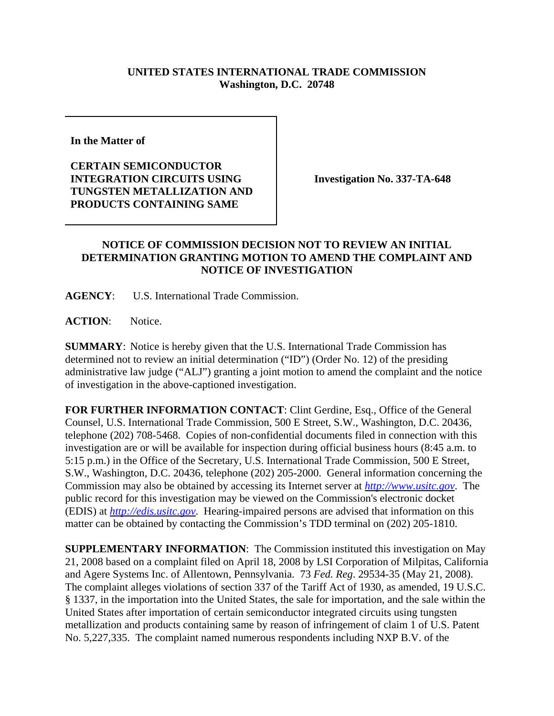## **UNITED STATES INTERNATIONAL TRADE COMMISSION Washington, D.C. 20748**

**In the Matter of** 

**CERTAIN SEMICONDUCTOR INTEGRATION CIRCUITS USING TUNGSTEN METALLIZATION AND PRODUCTS CONTAINING SAME**

**Investigation No. 337-TA-648**

## **NOTICE OF COMMISSION DECISION NOT TO REVIEW AN INITIAL DETERMINATION GRANTING MOTION TO AMEND THE COMPLAINT AND NOTICE OF INVESTIGATION**

**AGENCY**: U.S. International Trade Commission.

**ACTION**: Notice.

**SUMMARY**: Notice is hereby given that the U.S. International Trade Commission has determined not to review an initial determination ("ID") (Order No. 12) of the presiding administrative law judge ("ALJ") granting a joint motion to amend the complaint and the notice of investigation in the above-captioned investigation.

**FOR FURTHER INFORMATION CONTACT**: Clint Gerdine, Esq., Office of the General Counsel, U.S. International Trade Commission, 500 E Street, S.W., Washington, D.C. 20436, telephone (202) 708-5468. Copies of non-confidential documents filed in connection with this investigation are or will be available for inspection during official business hours (8:45 a.m. to 5:15 p.m.) in the Office of the Secretary, U.S. International Trade Commission, 500 E Street, S.W., Washington, D.C. 20436, telephone (202) 205-2000. General information concerning the Commission may also be obtained by accessing its Internet server at *http://www.usitc.gov*. The public record for this investigation may be viewed on the Commission's electronic docket (EDIS) at *http://edis.usitc.gov*. Hearing-impaired persons are advised that information on this matter can be obtained by contacting the Commission's TDD terminal on (202) 205-1810.

**SUPPLEMENTARY INFORMATION**: The Commission instituted this investigation on May 21, 2008 based on a complaint filed on April 18, 2008 by LSI Corporation of Milpitas, California and Agere Systems Inc. of Allentown, Pennsylvania. 73 *Fed. Reg*. 29534-35 (May 21, 2008). The complaint alleges violations of section 337 of the Tariff Act of 1930, as amended, 19 U.S.C. § 1337, in the importation into the United States, the sale for importation, and the sale within the United States after importation of certain semiconductor integrated circuits using tungsten metallization and products containing same by reason of infringement of claim 1 of U.S. Patent No. 5,227,335. The complaint named numerous respondents including NXP B.V. of the